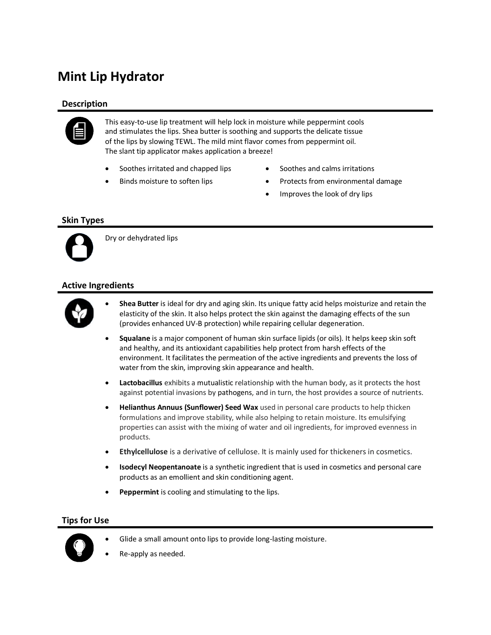# **Mint Lip Hydrator**

## **Description**



This easy-to-use lip treatment will help lock in moisture while peppermint cools and stimulates the lips. Shea butter is soothing and supports the delicate tissue of the lips by slowing TEWL. The mild mint flavor comes from peppermint oil. The slant tip applicator makes application a breeze!

- Soothes irritated and chapped lips
- Binds moisture to soften lips
- Soothes and calms irritations
- Protects from environmental damage
- Improves the look of dry lips

### **Skin Types**



Dry or dehydrated lips

### **Active Ingredients**



- **Shea Butter** is ideal for dry and aging skin. Its unique fatty acid helps moisturize and retain the elasticity of the skin. It also helps protect the skin against the damaging effects of the sun (provides enhanced UV-B protection) while repairing cellular degeneration.
- **Squalane** is a major component of human skin surface lipids (or oils). It helps keep skin soft and healthy, and its antioxidant capabilities help protect from harsh effects of the environment. It facilitates the permeation of the active ingredients and prevents the loss of water from the skin, improving skin appearance and health.
- **Lactobacillus** exhibits a mutualistic relationship with the human body, as it protects the host against potential invasions by pathogens, and in turn, the host provides a source of nutrients.
- **Helianthus Annuus (Sunflower) Seed Wax** used in personal care products to help thicken formulations and improve stability, while also helping to retain moisture. Its emulsifying properties can assist with the mixing of water and oil ingredients, for improved evenness in products.
- **Ethylcellulose** is a derivative of cellulose. It is mainly used for thickeners in cosmetics.
- **Isodecyl Neopentanoate** is a synthetic ingredient that is used in cosmetics and personal care products as an emollient and skin conditioning agent.
- **Peppermint** is cooling and stimulating to the lips.

#### **Tips for Use**



- Glide a small amount onto lips to provide long-lasting moisture.
- Re-apply as needed.